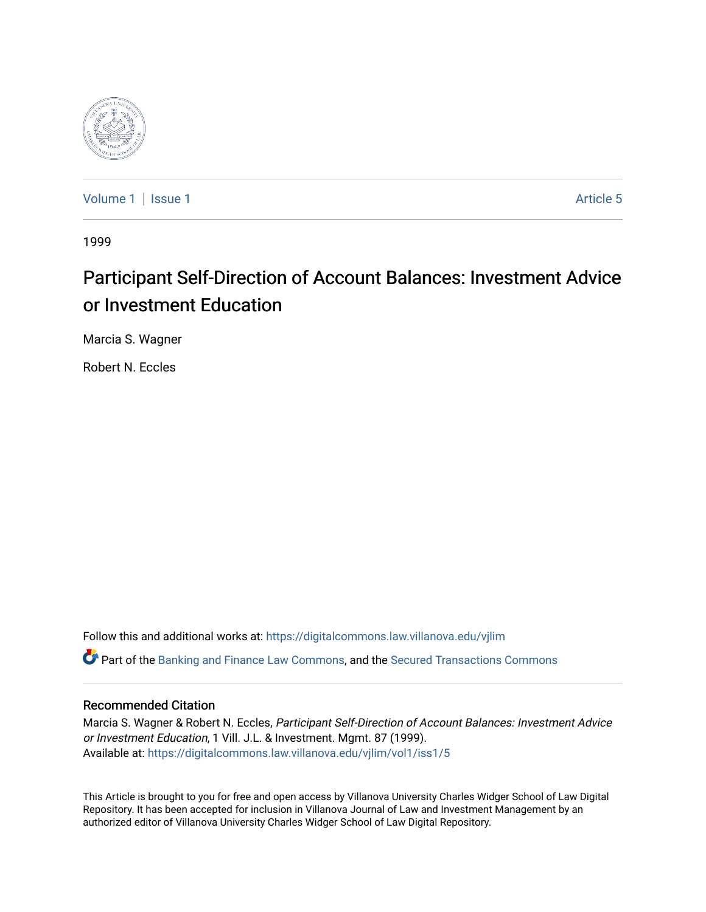

[Volume 1](https://digitalcommons.law.villanova.edu/vjlim/vol1) | [Issue 1](https://digitalcommons.law.villanova.edu/vjlim/vol1/iss1) Article 5

1999

# Participant Self-Direction of Account Balances: Investment Advice or Investment Education

Marcia S. Wagner

Robert N. Eccles

Follow this and additional works at: [https://digitalcommons.law.villanova.edu/vjlim](https://digitalcommons.law.villanova.edu/vjlim?utm_source=digitalcommons.law.villanova.edu%2Fvjlim%2Fvol1%2Fiss1%2F5&utm_medium=PDF&utm_campaign=PDFCoverPages) Part of the [Banking and Finance Law Commons,](http://network.bepress.com/hgg/discipline/833?utm_source=digitalcommons.law.villanova.edu%2Fvjlim%2Fvol1%2Fiss1%2F5&utm_medium=PDF&utm_campaign=PDFCoverPages) and the [Secured Transactions Commons](http://network.bepress.com/hgg/discipline/876?utm_source=digitalcommons.law.villanova.edu%2Fvjlim%2Fvol1%2Fiss1%2F5&utm_medium=PDF&utm_campaign=PDFCoverPages) 

## Recommended Citation

Marcia S. Wagner & Robert N. Eccles, Participant Self-Direction of Account Balances: Investment Advice or Investment Education, 1 Vill. J.L. & Investment. Mgmt. 87 (1999). Available at: [https://digitalcommons.law.villanova.edu/vjlim/vol1/iss1/5](https://digitalcommons.law.villanova.edu/vjlim/vol1/iss1/5?utm_source=digitalcommons.law.villanova.edu%2Fvjlim%2Fvol1%2Fiss1%2F5&utm_medium=PDF&utm_campaign=PDFCoverPages) 

This Article is brought to you for free and open access by Villanova University Charles Widger School of Law Digital Repository. It has been accepted for inclusion in Villanova Journal of Law and Investment Management by an authorized editor of Villanova University Charles Widger School of Law Digital Repository.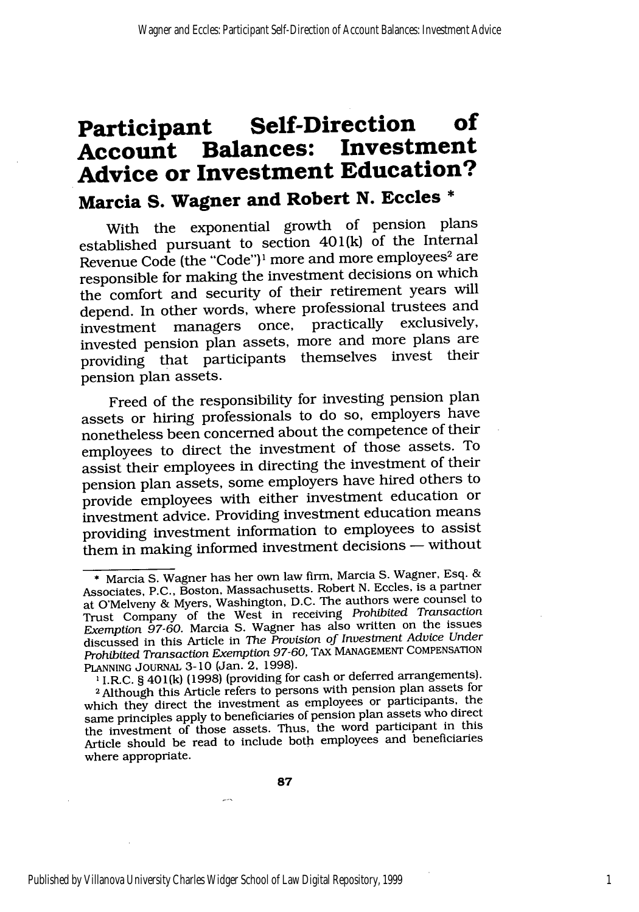## **Participant Self-Direction of Balances:** Investment **Advice or Investment Education? Marcia S. Wagner and Robert N. Eccles \***

With the exponential growth of pension plans established pursuant to section 401(k) of the Internal Revenue Code (the "Code")<sup>1</sup> more and more employees<sup>2</sup> are responsible for making the investment decisions on which the comfort and security of their retirement years will depend. In other words, where professional trustees and<br>investment managers once practically exclusively,  $investment$  managers once, practically invested pension plan assets, more and more plans are providing that participants themselves invest their pension plan assets.

Freed of the responsibility for investing pension plan assets or hiring professionals to do so, employers have nonetheless been concerned about the competence of their employees to direct the investment of those assets. To assist their employees in directing the investment of their pension plan assets, some employers have hired others to provide employees with either investment education or investment advice. Providing investment education means providing investment information to employees to assist them in making informed investment decisions  $-$  without

**<sup>1</sup>**I.R.C. § 401(k) (1998) (providing for cash or deferred arrangements).

87

**<sup>\*</sup>** Marcia S. Wagner has her own law firm, Marcia S. Wagner, Esq. & Associates, P.C., Boston, Massachusetts. Robert N. Eccles, is a partner at O'Melveny & Myers, Washington, D.C. The authors were counsel to Trust Company of the West in receiving *Prohibited Transaction Exemption 97-60.* Marcia S. Wagner has also written on the issues discussed in this Article in *The Provision of Investment Advice Under Prohibited Transaction Exemption 97-60,* TAx MANAGEMENT COMPENSATION PLANNING JouRNAL 3-10 (Jan. 2. 1998).

**<sup>2</sup>** Although this Article refers to persons with pension plan assets for which they direct the investment as employees or participants, the same principles apply to beneficiaries of pension plan assets who direct the investment of those assets. Thus, the word participant in this Article should be read to include both employees and beneficiaries where appropriate.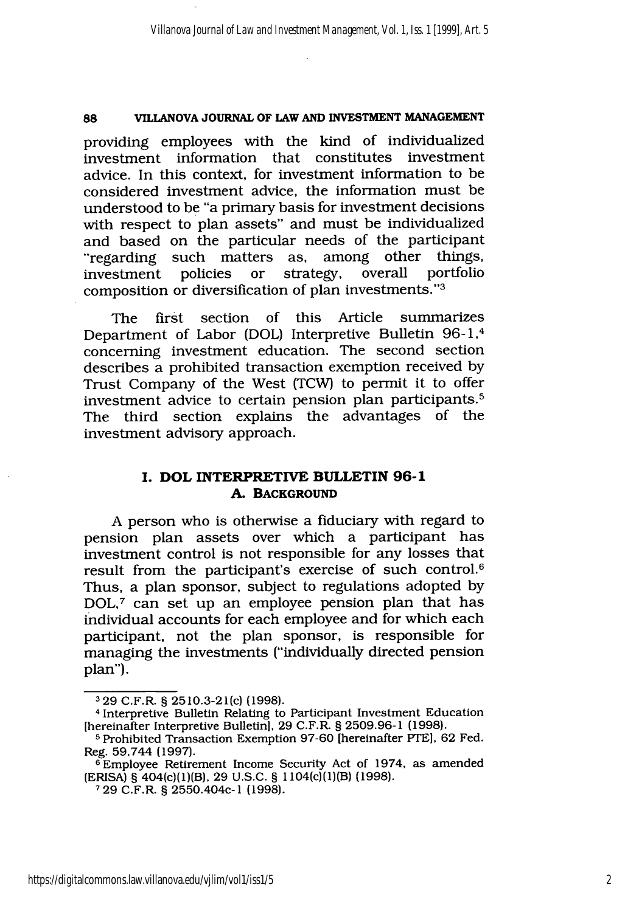providing employees with the kind of individualized investment information that constitutes investment advice. In this context, for investment information to be considered investment advice, the information must be understood to be "a primary basis for investment decisions with respect to plan assets" and must be individualized and based on the particular needs of the participant "regarding such matters as, among other things, investment policies or strategy, overall portfolio composition or diversification of plan investments."<sup>3</sup>

The first section of this Article summarizes Department of Labor (DOL) Interpretive Bulletin 96-1,<sup>4</sup> concerning investment education. The second section describes a prohibited transaction exemption received by Trust Company of the West (TCW) to permit it to offer investment advice to certain pension plan participants. <sup>5</sup> The third section explains the advantages of the investment advisory approach.

## **I. DOL INTERPRETIVE BULLETIN 96-I A. BACKGROUND**

A person who is otherwise a fiduciary with regard to pension plan assets over which a participant has investment control is not responsible for any losses that result from the participant's exercise of such control.6 Thus, a plan sponsor, subject to regulations adopted by DOL,7 can set up an employee pension plan that has individual accounts for each employee and for which each participant, not the plan sponsor, is responsible for managing the investments ("individually directed pension plan").

**<sup>3</sup>** 29 C.F.R. § 2510.3-21(c) (1998).

**<sup>4</sup>**Interpretive Bulletin Relating to Participant Investment Education [hereinafter Interpretive Bulletin], 29 C.F.R. § 2509.96-1 (1998).

<sup>&</sup>lt;sup>5</sup> Prohibited Transaction Exemption 97-60 [hereinafter PTE], 62 Fed. Reg. 59,744 (1997).

**<sup>6</sup>**Employee Retirement Income Security Act of 1974, as amended (ERISA) § 404(c)(1)(B), 29 U.S.C. § 1104(c)(1)(B) (1998).

**<sup>7</sup>**29 C.F.R. § 2550.404c-1 (1998).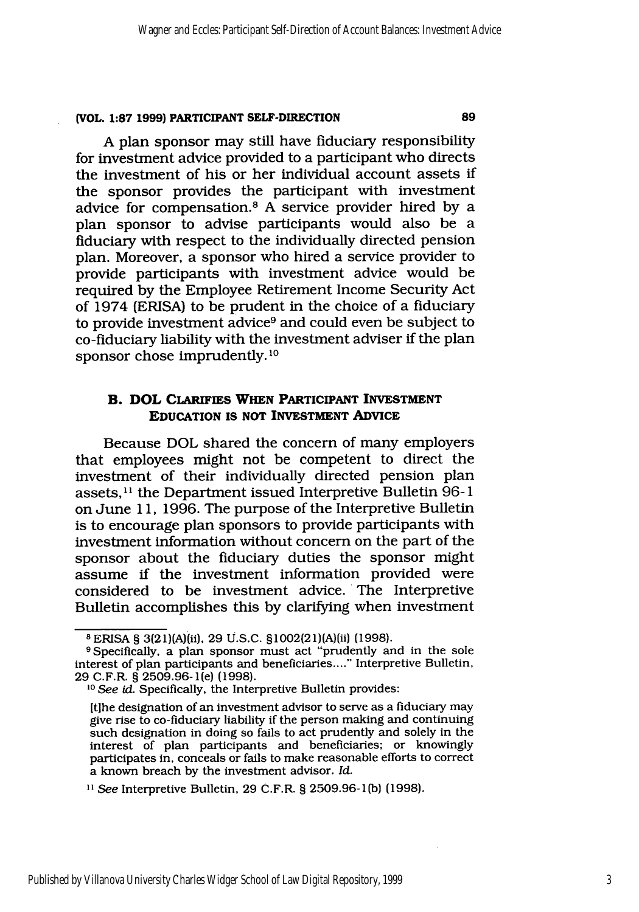A plan sponsor may still have fiduciary responsibility for investment advice provided to a participant who directs the investment of his or her individual account assets if the sponsor provides the participant with investment advice for compensation. 8 A service provider hired by a plan sponsor to advise participants would also be a fiduciary with respect to the individually directed pension plan. Moreover, a sponsor who hired a service provider to provide participants with investment advice would be required by the Employee Retirement Income Security Act of 1974 (ERISA) to be prudent in the choice of a fiduciary to provide investment advice9 and could even be subject to co-fiduciary liability with the investment adviser if the plan sponsor chose imprudently. **'0**

## B. **DOL CLARIFIES WHEN PARTICIPANT INVESTMENT EDUCATION IS NOT INVESTMENT ADVICE**

Because DOL shared the concern of many employers that employees might not be competent to direct the investment of their individually directed pension plan assets.<sup>11</sup> the Department issued Interpretive Bulletin 96-1 on June 11, 1996. The purpose of the Interpretive Bulletin is to encourage plan sponsors to provide participants with investment information without concern on the part of the sponsor about the fiduciary duties the sponsor might assume if the investment information provided were considered to be investment advice. The Interpretive Bulletin accomplishes this by clarifying when investment

**<sup>8</sup>** ERISA § 3(21)(A)(ii), 29 U.S.C. §1002(21)(A)(ii) (1998).

**<sup>9</sup>** Specifically, a plan sponsor must act "prudently and in the sole interest of plan participants and beneficiaries...... Interpretive Bulletin, 29 C.F.R. § 2509.96-1(e) (1998).

<sup>&</sup>lt;sup>10</sup> See *id*. Specifically, the Interpretive Bulletin provides:

<sup>[</sup>t]he designation of an investment advisor to serve as a fiduciary may give rise to co-fiduciary liability if the person making and continuing such designation in doing so fails to act prudently and solely in the interest of plan participants and beneficiaries; or knowingly participates in, conceals or fails to make reasonable efforts to correct a known breach by the investment advisor. *Id.*

<sup>&</sup>lt;sup>11</sup> See Interpretive Bulletin, 29 C.F.R. § 2509.96-1(b) (1998).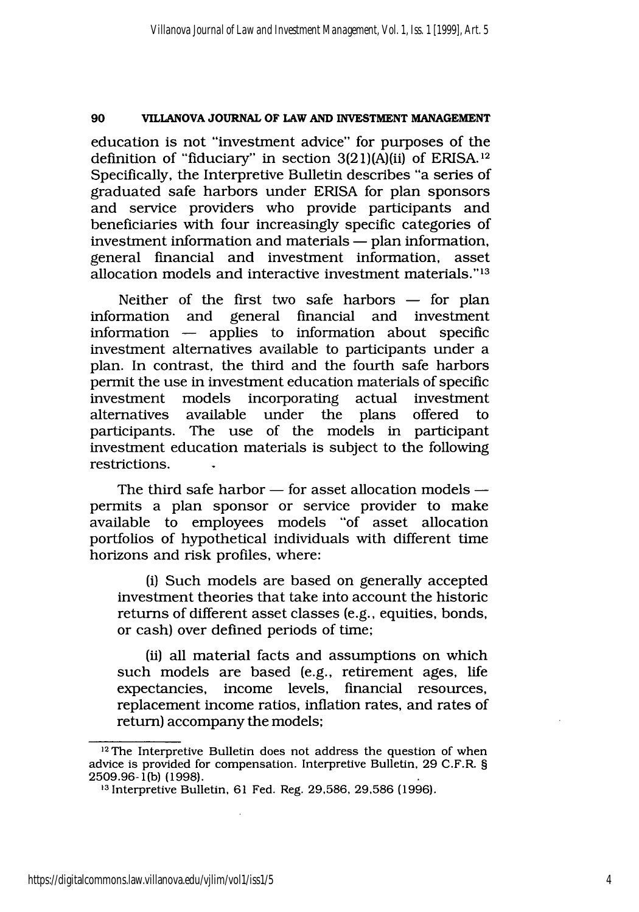education is not "investment advice" for purposes of the definition of "fiduciary" in section  $3(21)(A)(ii)$  of ERISA.<sup>12</sup> Specifically, the Interpretive Bulletin describes "a series of graduated safe harbors under ERISA for plan sponsors and service providers who provide participants and beneficiaries with four increasingly specific categories of  $investment information and materials — plan information,$ general financial and investment information, asset allocation models and interactive investment materials." <sup>13</sup>

Neither of the first two safe harbors  $-$  for plan information and general financial and investment information  $-$  applies to information about specific investment alternatives available to participants under a plan. In contrast, the third and the fourth safe harbors permit the use in investment education materials of specific investment models incorporating actual investment alternatives available under the plans offered to participants. The use of the models in participant investment education materials is subject to the following restrictions.

The third safe harbor  $-$  for asset allocation models  $$ permits a plan sponsor or service provider to make available to employees models "of asset allocation portfolios of hypothetical individuals with different time horizons and risk profiles, where:

(i) Such models are based on generally accepted investment theories that take into account the historic returns of different asset classes (e.g., equities, bonds, or cash) over defined periods of time;

(ii) all material facts and assumptions on which such models are based (e.g., retirement ages, life expectancies, income levels, financial resources, replacement income ratios, inflation rates, and rates of return) accompany the models;

<sup>&</sup>lt;sup>12</sup>The Interpretive Bulletin does not address the question of when advice is provided for compensation. Interpretive Bulletin, 29 C.F.R. § 2509.96-1(b) (1998).

**<sup>13</sup>**Interpretive Bulletin, 61 Fed. Reg. 29,586, 29,586 (1996).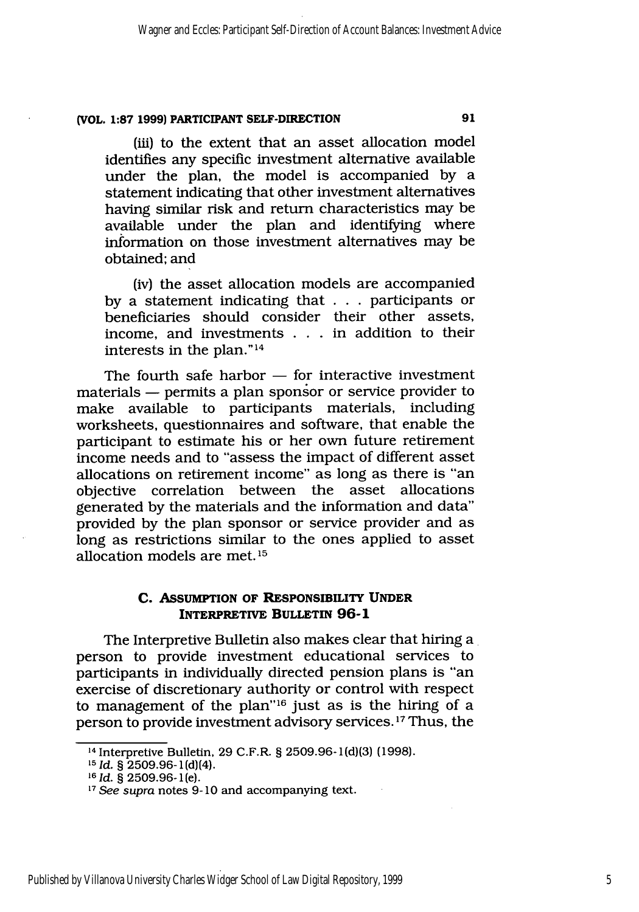(iii) to the extent that an asset allocation model identifies any specific investment alternative available under the plan, the model is accompanied by a statement indicating that other investment alternatives having similar risk and return characteristics may be available under the plan and identifying where information on those investment alternatives may be obtained; and

(iv) the asset allocation models are accompanied by a statement indicating that . **.** participants or beneficiaries should consider their other assets, income, and investments . . **.** in addition to their interests in the plan." <sup>14</sup>

The fourth safe harbor  $-$  for interactive investment materials - permits a plan sponsor or service provider to make available to participants materials, including worksheets, questionnaires and software, that enable the participant to estimate his or her own future retirement income needs and to "assess the impact of different asset allocations on retirement income" as long as there is "an objective correlation between the asset allocations generated by the materials and the information and data" provided by the plan sponsor or service provider and as long as restrictions similar to the ones applied to asset allocation models are met. **<sup>15</sup>**

## **C. ASSUMPTION OF RESPONSIBILITY UNDER INTERPRETIVE BULLETIN 96-1**

The Interpretive Bulletin also makes clear that hiring a person to provide investment educational services to participants in individually directed pension plans is "an exercise of discretionary authority or control with respect to management of the plan"<sup>16</sup> just as is the hiring of a person to provide investment advisory services. **<sup>17</sup>**Thus, the

<sup>14</sup> Interpretive Bulletin, 29 C.F.R. § 2509.96-i(d)(3) (1998).

*<sup>1</sup> <sup>5</sup> Id.* § 2509.96-1(d)(4).

**<sup>16</sup>***Id.* § **2509.96-1(e).**

*<sup>17</sup>See supra* notes 9-10 and accompanying text.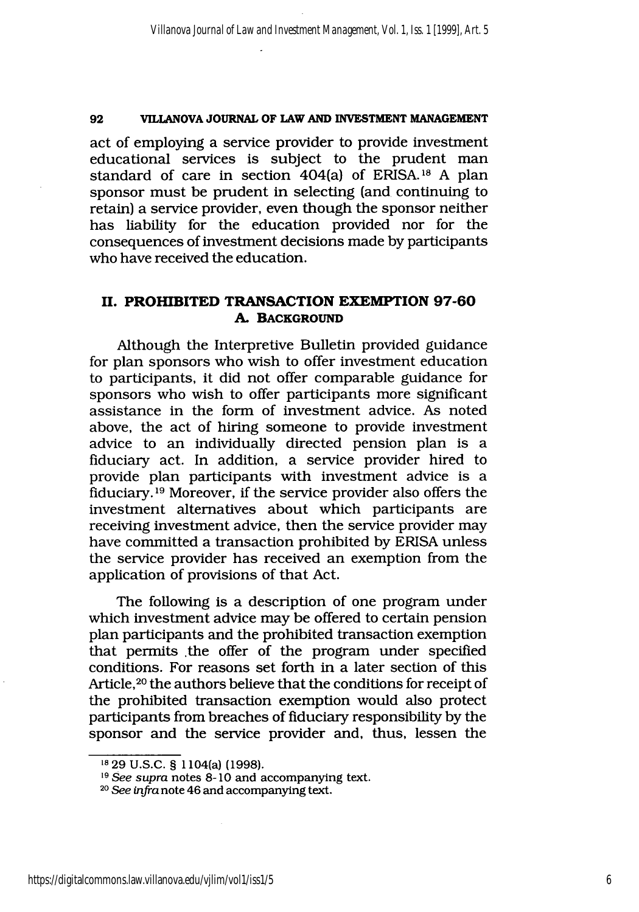act of employing a service provider to provide investment educational services is subject to the prudent man standard of care in section 404(a) of ERISA. 18 A plan sponsor must be prudent in selecting (and continuing to retain) a service provider, even though the sponsor neither has liability for the education provided nor for the consequences of investment decisions made by participants who have received the education.

## **II. PROHIBITED TRANSACTION EXEMPTION 97-60 A. BACKGROUND**

Although the Interpretive Bulletin provided guidance for plan sponsors who wish to offer investment education to participants, it did not offer comparable guidance for sponsors who wish to offer participants more significant assistance in the form of investment advice. As noted above, the act of hiring someone to provide investment advice to an individually directed pension plan is a fiduciary act. In addition, a service provider hired to provide plan participants with investment advice is a fiduciary. **1 <sup>9</sup>**Moreover, if the service provider also offers the investment alternatives about which participants are receiving investment advice, then the service provider may have committed a transaction prohibited by ERISA unless the service provider has received an exemption from the application of provisions of that Act.

The following is a description of one program under which investment advice may be offered to certain pension plan participants and the prohibited transaction exemption that permits .the offer of the program under specified conditions. For reasons set forth in a later section of this Article,<sup>20</sup> the authors believe that the conditions for receipt of the prohibited transaction exemption would also protect participants from breaches of fiduciary responsibility by the sponsor and the service provider and, thus, lessen the

<sup>18</sup> **29 U.S.C.** § 1104(a) (1998).

**<sup>19</sup>***See supra* notes 8-10 and accompanying text.

**<sup>20</sup>***See infra* note 46 and accompanying text.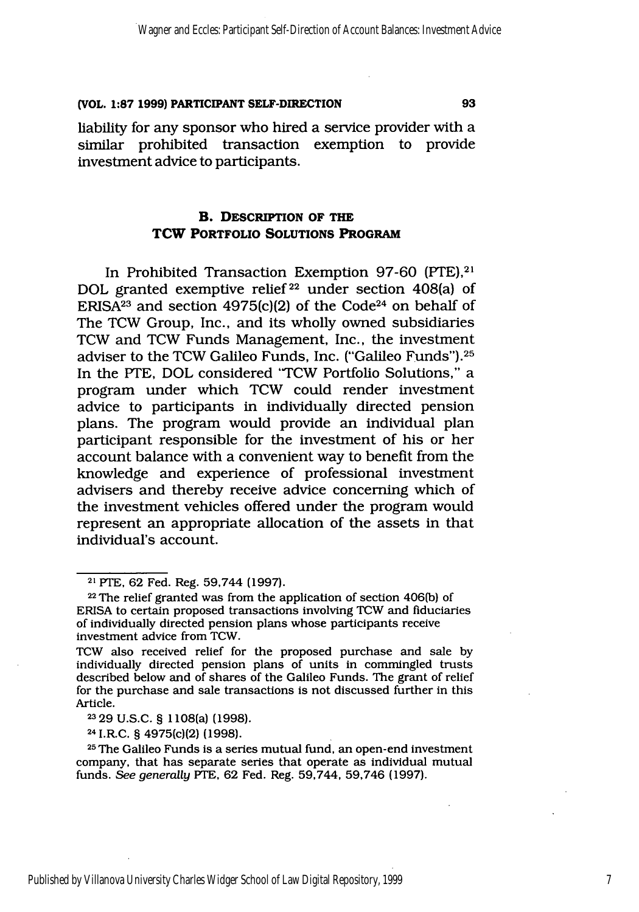liability for any sponsor who hired a service provider with a similar prohibited transaction exemption to provide investment advice to participants.

## B. **DESCRIPTION OF THE TCW PORTFOLIO SOLUTIONS PROGRAM**

In Prohibited Transaction Exemption 97-60 (PTE),<sup>21</sup> DOL granted exemptive relief<sup>22</sup> under section 408(a) of ERISA<sup>23</sup> and section 4975(c)(2) of the Code<sup>24</sup> on behalf of The TCW Group, Inc., and its wholly owned subsidiaries TCW and TCW Funds Management, Inc., the investment adviser to the TCW Galileo Funds, Inc. ("Galileo Funds").25 In the PTE, DOL considered "TCW Portfolio Solutions," a program under which TCW could render investment advice to participants in individually directed pension plans. The program would provide an individual plan participant responsible for the investment of his or her account balance with a convenient way to benefit from the knowledge and experience of professional investment advisers and thereby receive advice concerning which of the investment vehicles offered under the program would represent an appropriate allocation of the assets in that individual's account.

**2329** U.S.C. § 1108(a) (1998).

24 I.R.C. § 4975(c)(2) **(1998).**

**<sup>25</sup>**The Galileo Funds is a series mutual fund, an open-end investment company, that has separate series that operate as individual mutual funds. *See generally* PTE, 62 Fed. Reg. 59,744, 59,746 (1997).

7

**<sup>21</sup>**PTE, 62 Fed. Reg. 59,744 (1997).

**<sup>22</sup>**The relief granted was from the application of section 406(b) of ERISA to certain proposed transactions involving TCW and fiduciaries of individually directed pension plans whose participants receive investment advice from TCW.

TCW also received relief for the proposed purchase and sale by individually directed pension plans of units in commingled trusts described below and of shares of the Galileo Funds. The grant of relief for the purchase and sale transactions is not discussed further in this Article.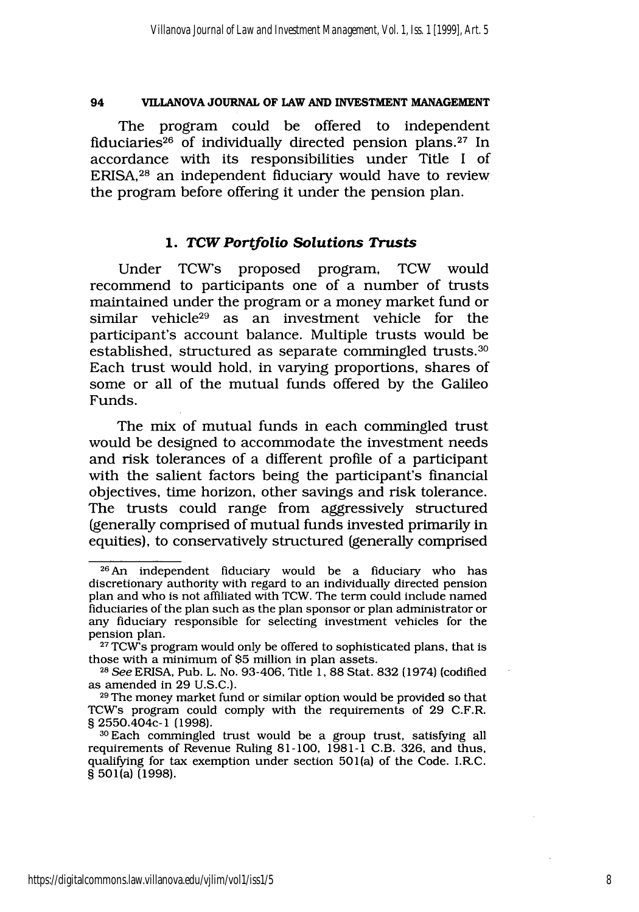The program could be offered to independent fiduciaries<sup>26</sup> of individually directed pension plans.<sup>27</sup> In accordance with its responsibilities under Title I of ERISA,<sup>28</sup> an independent fiduciary would have to review the program before offering it under the pension plan.

## *1. TCW Portfolio Solutions Trusts*

Under TCWs proposed program, TCW would recommend to participants one of a number of trusts maintained under the program or a money market fund or similar vehicle $29$  as an investment vehicle for the participant's account balance. Multiple trusts would be established, structured as separate commingled trusts.<sup>30</sup> Each trust would hold, in varying proportions, shares of some or all of the mutual funds offered by the Galileo Funds.

The mix of mutual funds in each commingled trust would be designed to accommodate the investment needs and risk tolerances of a different profile of a participant with the salient factors being the participant's financial objectives, time horizon, other savings and risk tolerance. The trusts could range from aggressively structured (generally comprised of mutual funds invested primarily in equities), to conservatively structured (generally comprised

<sup>26</sup> An independent fiduciary would be a fiduciary who has discretionary authority with regard to an individually directed pension plan and who is not affiliated with TCW. The term could include named fiduciaries of the plan such as the plan sponsor or plan administrator or any fiduciary responsible for selecting investment vehicles for the

pension plan.<br><sup>27</sup> TCW's program would only be offered to sophisticated plans, that is those with a minimum of \$5 million in plan assets.<br><sup>28</sup> See ERISA, Pub. L. No. 93-406, Title 1, 88 Stat. 832 (1974) (codified

as amended in 29 U.S.C.).

**<sup>29</sup>**The money market fund or similar option would be provided so that TCWs program could comply with the requirements of 29 C.F.R. § 2550.404c-1 (1998).

<sup>3°</sup>Each commingled trust would be a group trust, satisfying all requirements of Revenue Ruling 81-100, 1981-1 C.B. 326, and thus, qualifying for tax exemption under section 501(a) of the Code. I.R.C. **.** 501(a) **(1998).**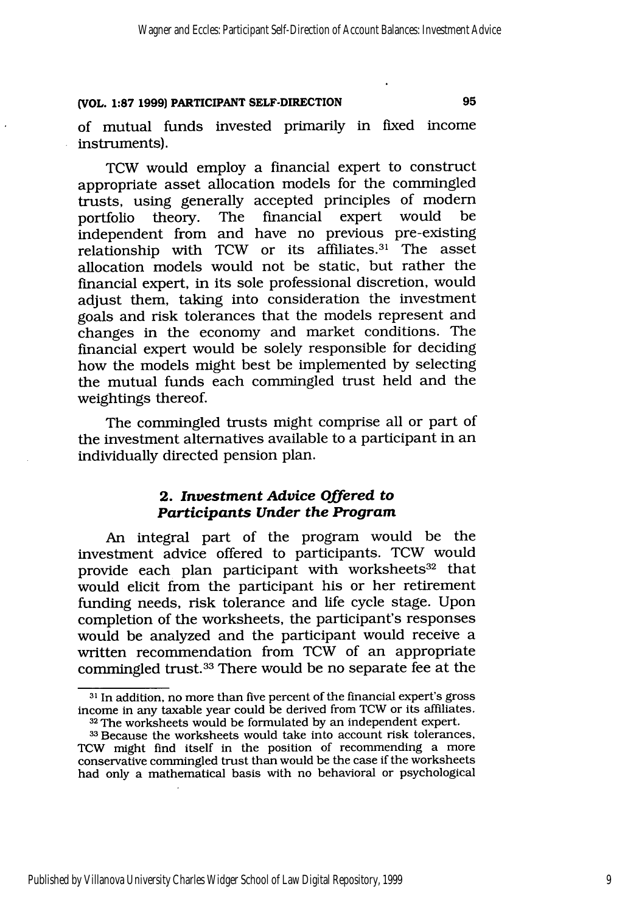of mutual funds invested primarily in fixed income instruments).

TCW would employ a financial expert to construct appropriate asset allocation models for the commingled trusts, using generally accepted principles of modem The financial expert would independent from and have no previous pre-existing relationship with TCW or its affiliates. 31 The asset allocation models would not be static, but rather the financial expert, in its sole professional discretion, would adjust them, taking into consideration the investment goals and risk tolerances that the models represent and changes in the economy and market conditions. The financial expert would be solely responsible for deciding how the models might best be implemented by selecting the mutual funds each commingled trust held and the weightings thereof.

The commingled trusts might comprise all or part of the investment alternatives available to a participant in an individually directed pension plan.

## **2.** *Investment Advice Offered to Participants Under the Program*

An integral part of the program would be the investment advice offered to participants. TCW would provide each plan participant with worksheets $^{32}$  that would elicit from the participant his or her retirement funding needs, risk tolerance and life cycle stage. Upon completion of the worksheets, the participant's responses would be analyzed and the participant would receive a written recommendation from TCW of an appropriate commingled trust.33 There would be no separate fee at the

**<sup>31</sup>**In addition, no more than five percent of the financial expert's gross income in any taxable year could be derived from TCW or its affiliates. **<sup>32</sup>**The worksheets would be formulated by an independent expert.

**<sup>33</sup>**Because the worksheets would take into account risk tolerances, TCW might find itself in the position of recommending a more conservative commingled trust than would be the case if the worksheets had only a mathematical basis with no behavioral or psychological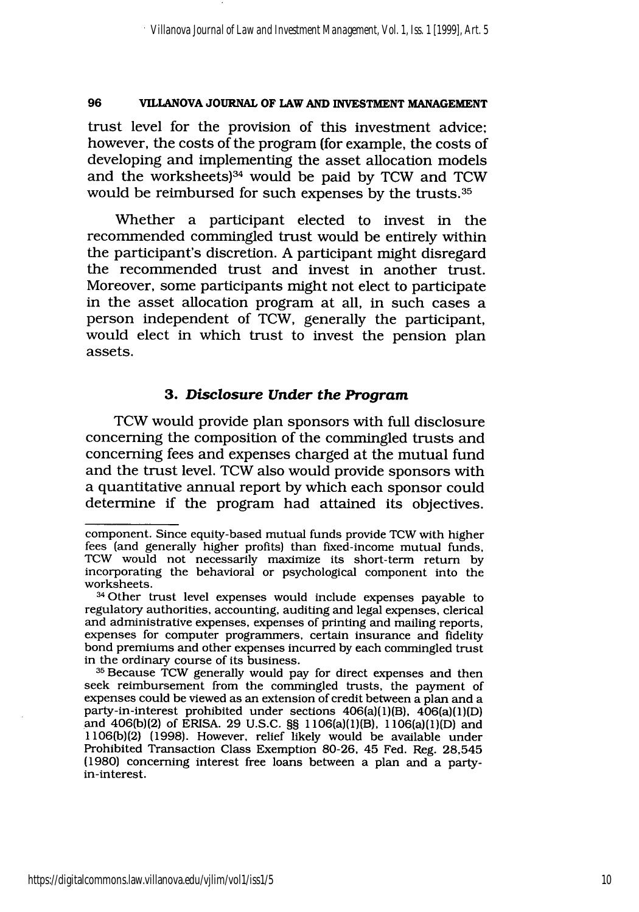trust level for the provision of this investment advice; however, the costs of the program (for example, the costs of developing and implementing the asset allocation models and the worksheets)<sup>34</sup> would be paid by TCW and TCW would be reimbursed for such expenses by the trusts. <sup>35</sup>

Whether a participant elected to invest in the recommended commingled trust would be entirely within the participant's discretion. A participant might disregard the recommended trust and invest in another trust. Moreover, some participants might not elect to participate in the asset allocation program at all, in such cases a person independent of TCW, generally the participant, would elect in which trust to invest the pension plan assets.

## **3.** *Disclosure Under the Program*

TCW would provide plan sponsors with full disclosure concerning the composition of the commingled trusts and concerning fees and expenses charged at the mutual fund and the trust level. TCW also would provide sponsors with a quantitative annual report by which each sponsor could determine if the program had attained its objectives.

component. Since equity-based mutual funds provide TCW with higher fees (and generally higher profits) than fixed-income mutual funds, TCW would not necessarily maximize its short-term return by incorporating the behavioral or psychological component into the worksheets.

<sup>34</sup> Other trust level expenses would include expenses payable to regulatory authorities, accounting, auditing and legal expenses, clerical and administrative expenses, expenses of printing and mailing reports, expenses for computer programmers, certain insurance and fidelity bond premiums and other expenses incurred by each commingled trust in the ordinary course of its business.

**<sup>35</sup>**Because TCW generally would pay for direct expenses and then seek reimbursement from the commingled trusts, the payment of expenses could be viewed as an extension of credit between a plan and a party-in-interest prohibited under sections 406(a)(1)(B), 406(a)(1)(D) and 406(b)(2) of ERISA. 29 U.S.C. §§ 1106(a)(1)(B), 1106(a)(1)(D) and 1106(b)(2) (1998). However, relief likely would be available under Prohibited Transaction Class Exemption 80-26, 45 Fed. Reg. 28,545 (1980) concerning interest free loans between a plan and a partyin-interest.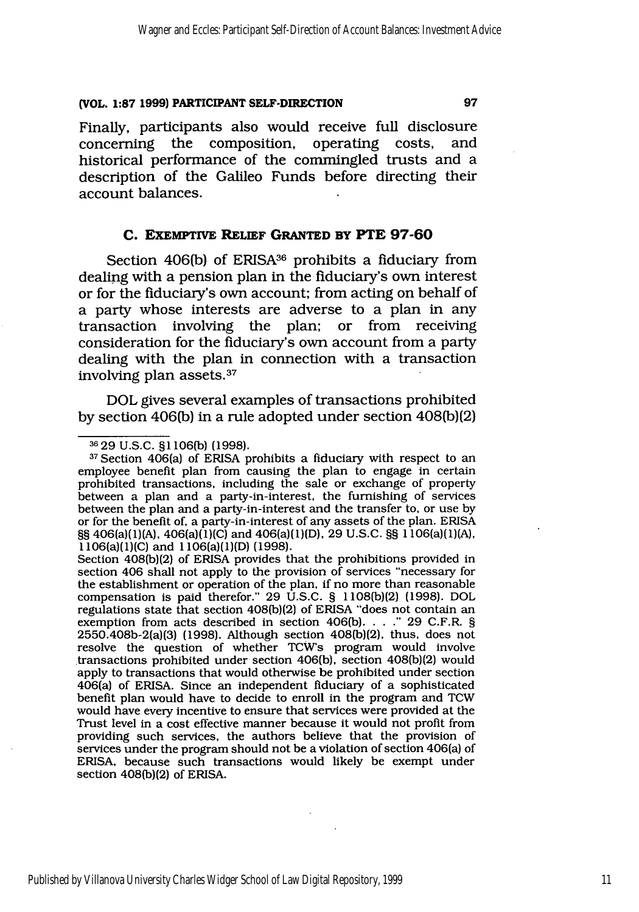Finally, participants also would receive full disclosure<br>concerning the composition, operating costs, and concerning the composition, operating costs, historical performance of the commingled trusts and a description of the Galileo Funds before directing their account balances.

### **C. EXEMPTIVE RELIEF GRANTED BY PTE 97-60**

Section 406(b) of ERISA<sup>36</sup> prohibits a fiduciary from dealing with a pension plan in the fiduciary's own interest or for the fiduciary's own account; from acting on behalf of a party whose interests are adverse to a plan in any transaction involving the plan; or from receiving consideration for the fiduciary's own account from a party dealing with the plan in connection with a transaction involving plan assets. <sup>37</sup>

DOL gives several examples of transactions prohibited by section 406(b) in a rule adopted under section 408(b)(2)

Section 408(b)(2) of ERISA provides that the prohibitions provided in section 406 shall not apply to the provision of services "necessary for the establishment or operation of the plan, if no more than reasonable compensation is paid therefor." 29 U.S.C. § 1108(b)(2) (1998). DOL regulations state that section 408(b)(2) of ERISA "does not contain an exemption from acts described in section 406(b). . . ." 29 C.F.R. § 2550.408b-2(a)(3) (1998). Although section 408(b)(2), thus, does not resolve the question of whether TCWs program would involve transactions prohibited under section 406(b), section 408(b)(2) would apply to transactions that would otherwise be prohibited under section 406(a) of ERISA. Since an independent fiduciary of a sophisticated benefit plan would have to decide to enroll in the program and TCW would have every incentive to ensure that services were provided at the Trust level in a cost effective manner because it would not profit from providing such services, the authors believe that the provision of services under the program should not be a violation of section 406(a) of ERISA, because such transactions would likely be exempt under section 408(b)(2) of ERISA.

**<sup>3629</sup>** U.S.C. **§I** 106(b) (1998).

**<sup>37</sup>**Section 406(a) of ERISA prohibits a fiduciary with respect to an employee benefit plan from causing the plan to engage in certain prohibited transactions, including the sale or exchange of property between a plan and a party-in-interest, the furnishing of services between the plan and a party-in-interest and the transfer to, or use by or for the benefit of, a party-in-interest of any assets of the plan. ERISA §§ 406(a)(1)(A), 406(a)(1)(C) and 406(a)(1)(D), 29 U.S.C. §§ 1106(a)(1)(A), 1106(a)(1)(C) and 1106(a)(1)(D) (1998).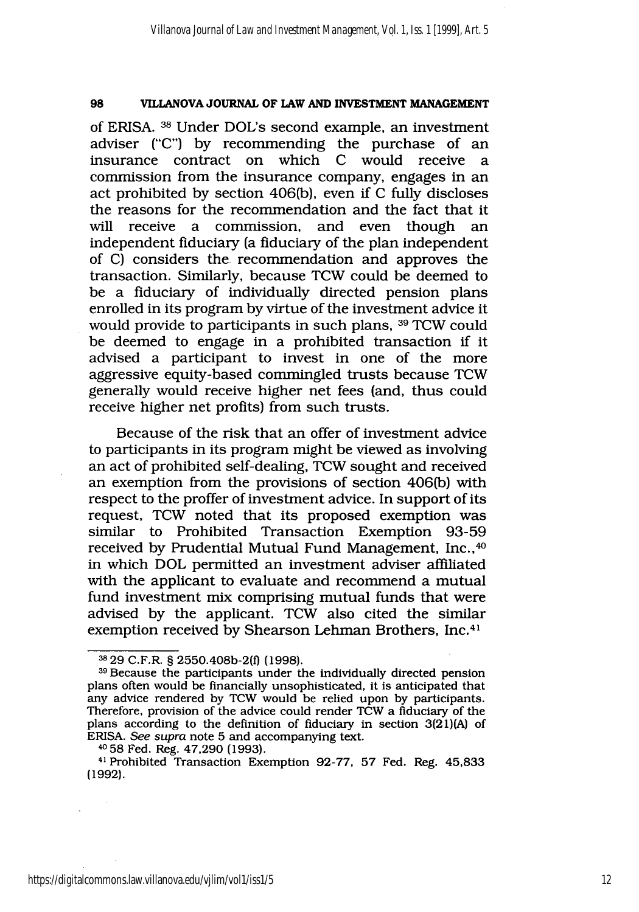of ERISA. **38** Under DOL's second example, an investment adviser ("C") by recommending the purchase of an insurance contract on which C would receive a commission from the insurance company, engages in an act prohibited by section 406(b), even if C fully discloses the reasons for the recommendation and the fact that it will receive a commission, and even though an independent fiduciary (a fiduciary of the plan independent of C) considers the recommendation and approves the transaction. Similarly, because TCW could be deemed to be a fiduciary of individually directed pension plans enrolled in its program by virtue of the investment advice it would provide to participants in such plans, 39 TCW could be deemed to engage in a prohibited transaction if it advised a participant to invest in one of the more aggressive equity-based commingled trusts because TCW generally would receive higher net fees (and, thus could receive higher net profits) from such trusts.

Because of the risk that an offer of investment advice to participants in its program might be viewed as involving an act of prohibited self-dealing, TCW sought and received an exemption from the provisions of section 406(b) with respect to the proffer of investment advice. In support of its request, TCW noted that its proposed exemption was similar to Prohibited Transaction Exemption 93-59 received by Prudential Mutual Fund Management, Inc.,<sup>40</sup> in which DOL permitted an investment adviser affiliated with the applicant to evaluate and recommend a mutual fund investment mix comprising mutual funds that were advised by the applicant. TCW also cited the similar exemption received by Shearson Lehman Brothers, Inc.<sup>41</sup>

<sup>&</sup>lt;sup>38</sup> 29 C.F.R. § 2550.408b-2(f) (1998).

**<sup>39</sup>**Because the participants under the individually directed pension plans often would be financially unsophisticated, it is anticipated that any advice rendered by TCW would be relied upon by participants. Therefore, provision of the advice could render TCW a fiduciary of the plans according to the definition of fiduciary in section 3(21)(A) of ERISA. *See supra* note 5 and accompanying text.

**<sup>40</sup>**58 Fed. Reg. 47,290 (1993).

<sup>&</sup>lt;sup>41</sup> Prohibited Transaction Exemption 92-77, 57 Fed. Reg. 45,833 (1992).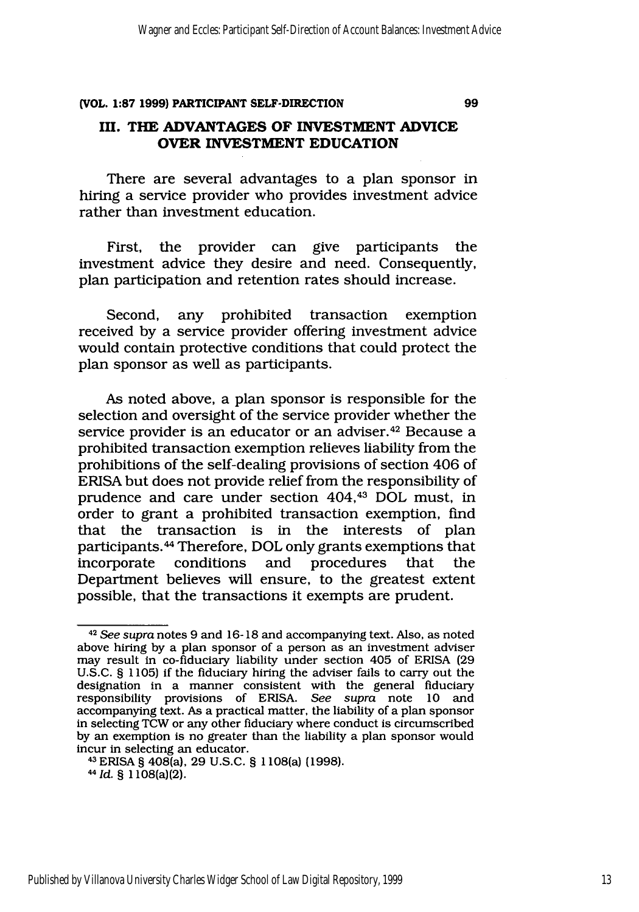## **III. THE ADVANTAGES OF INVESTMENT ADVICE OVER INVESTMENT EDUCATION**

There are several advantages to a plan sponsor in hiring a service provider who provides investment advice rather than investment education.

First, the provider can give participants the investment advice they desire and need. Consequently, plan participation and retention rates should increase.

Second, any prohibited transaction exemption received by a service provider offering investment advice would contain protective conditions that could protect the plan sponsor as well as participants.

As noted above, a plan sponsor is responsible for the selection and oversight of the service provider whether the service provider is an educator or an adviser.<sup>42</sup> Because a prohibited transaction exemption relieves liability from the prohibitions of the self-dealing provisions of section 406 of ERISA but does not provide relief from the responsibility of prudence and care under section 404,43 DOL must, in order to grant a prohibited transaction exemption, find that the transaction is in the interests of plan participants.<sup>44</sup> Therefore, DOL only grants exemptions that incorporate conditions and procedures that the Department believes will ensure, to the greatest extent possible, that the transactions it exempts are prudent.

*<sup>4</sup>* <sup>2</sup>*See supra* notes 9 and 16-18 and accompanying text. Also, as noted above hiring by a plan sponsor of a person as an investment adviser may result in co-fiduciary liability under section 405 of ERISA (29 U.S.C. **§** 1105) if the fiduciary hiring the adviser fails to carry out the designation in a manner consistent with the general fiduciary responsibility provisions of ERISA. *See supra* note **10** and accompanying text. As a practical matter, the liability of a plan sponsor in selecting TCW or any other fiduciary where conduct is circumscribed by an exemption is no greater than the liability a plan sponsor would incur in selecting an educator. 43ERISA § 408(a), 29 U.S.C. **§** 1108(a) (1998).

*<sup>&</sup>quot;Id.* **§** 1108(a)(2).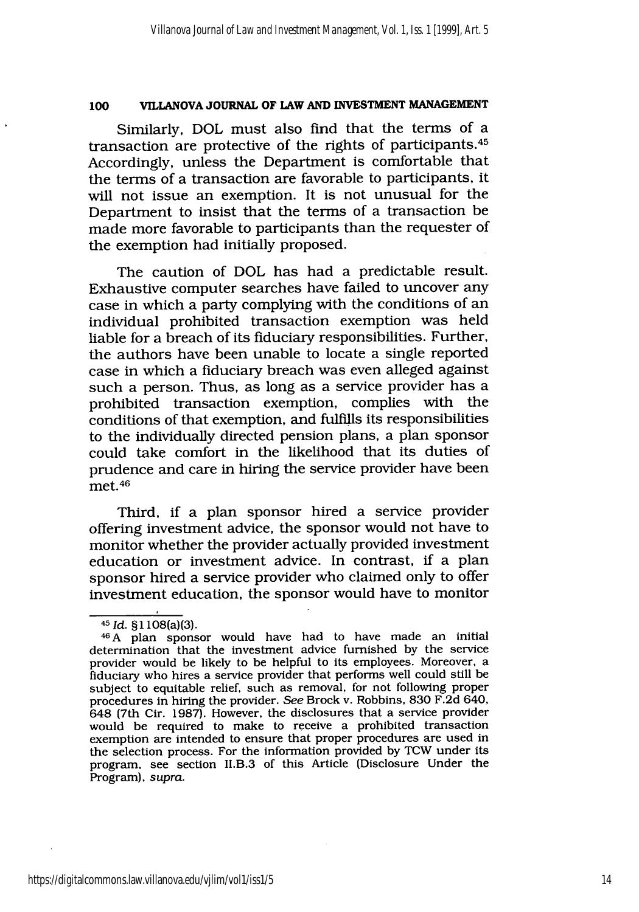Similarly, DOL must also find that the terms of a transaction are protective of the rights of participants. <sup>45</sup> Accordingly, unless the Department is comfortable that the terms of a transaction are favorable to participants, it will not issue an exemption. It is not unusual for the Department to insist that the terms of a transaction be made more favorable to participants than the requester of the exemption had initially proposed.

The caution of DOL has had a predictable result. Exhaustive computer searches have failed to uncover any case in which a party complying with the conditions of an individual prohibited transaction exemption was held liable for a breach of its fiduciary responsibilities. Further, the authors have been unable to locate a single reported case in which a fiduciary breach was even alleged against such a person. Thus, as long as a service provider has a prohibited transaction exemption, complies with the conditions of that exemption, and fulfills its responsibilities to the individually directed pension plans, a plan sponsor could take comfort in the likelihood that its duties of prudence and care in hiring the service provider have been met.<sup>46</sup>

Third, if a plan sponsor hired a service provider offering investment advice, the sponsor would not have to monitor whether the provider actually provided investment education or investment advice. In contrast, if a plan sponsor hired a service provider who claimed only to offer investment education, the sponsor would have to monitor

<sup>45</sup>*Id.* **§1** 108(a)(3).

<sup>46</sup> A plan sponsor would have had to have made an initial determination that the investment advice furnished by the service provider would be likely to be helpful to its employees. Moreover, a fiduciary who hires a service provider that performs well could still be subject to equitable relief, such as removal, for not following proper procedures in hiring the provider. *See* Brock v. Robbins, 830 F.2d 640, 648 (7th Cir. 1987). However, the disclosures that a service provider would be required to make to receive a prohibited transaction exemption are intended to ensure that proper procedures are used in the selection process. For the information provided by TCW under its program, see section II.B.3 of this Article (Disclosure Under the Program), *supra.*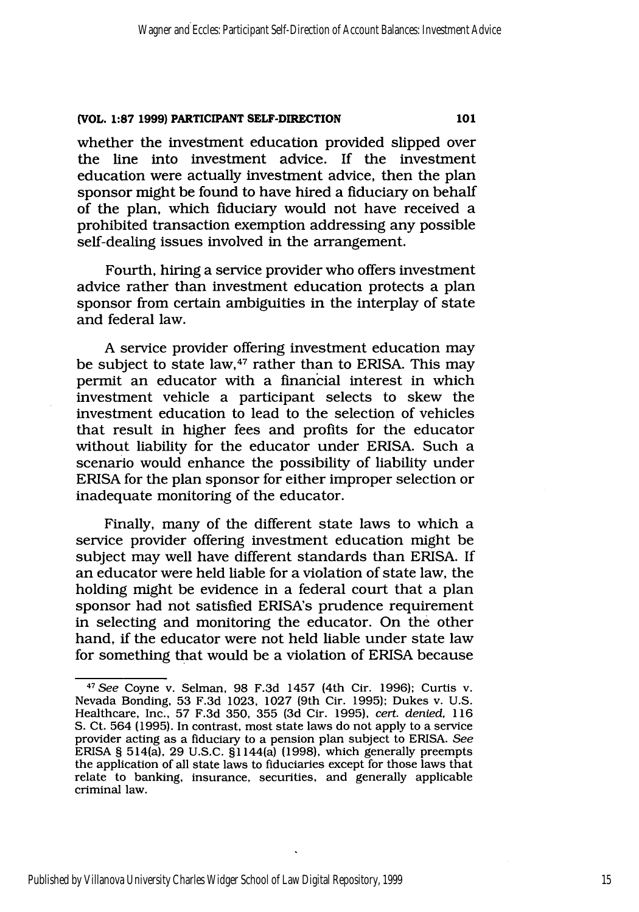whether the investment education provided slipped over the line into investment advice. If the investment education were actually investment advice, then the plan sponsor might be found to have hired a fiduciary on behalf of the plan, which fiduciary would not have received a prohibited transaction exemption addressing any possible self-dealing issues involved in the arrangement.

Fourth, hiring a service provider who offers investment advice rather than investment education protects a plan sponsor from certain ambiguities in the interplay of state and federal law.

A service provider offering investment education may be subject to state law,<sup>47</sup> rather than to ERISA. This may permit an educator with a financial interest in which investment vehicle a participant selects to skew the investment education to lead to the selection of vehicles that result in higher fees and profits for the educator without liability for the educator under ERISA. Such a scenario would enhance the possibility of liability under ERISA for the plan sponsor for either improper selection or inadequate monitoring of the educator.

Finally, many of the different state laws to which a service provider offering investment education might be subject may well have different standards than ERISA. If an educator were held liable for a violation of state law, the holding might be evidence in a federal court that a plan sponsor had not satisfied ERISA's prudence requirement in selecting and monitoring the educator. On the other hand, if the educator were not held liable under state law for something that would be a violation of ERISA because

101

*<sup>47</sup> See* Coyne v. Selman, 98 F.3d 1457 (4th Cir. 1996); Curtis v. Nevada Bonding, 53 F.3d 1023, 1027 (9th Cir. 1995); Dukes v. U.S. Healthcare, Inc., 57 F.3d 350, 355 (3d Cir. 1995), *cert. denied,* 116 S. Ct. 564 (1995). In contrast, most state laws do not apply to a service provider acting as a fiduciary to a pension plan subject to ERISA. *See* ERISA § 514(a), 29 U.S.C. **§I** 144(a) (1998), which generally preempts the application of all state laws to fiduciaries except for those laws that relate to banking, insurance, securities, and generally applicable criminal law.